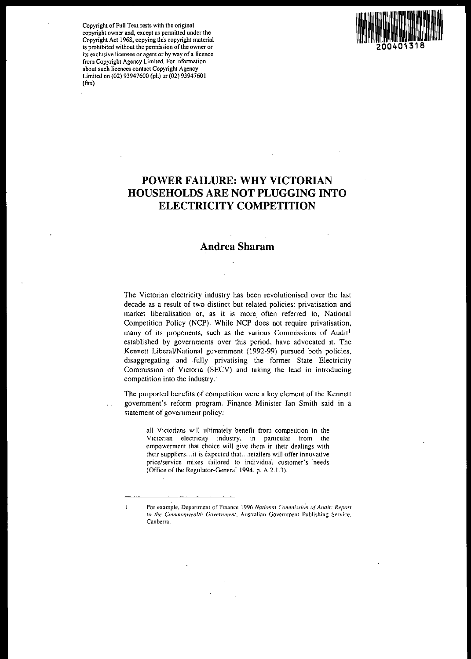Copyright of Full Text rests with the original copyright owner and, except as permitted under the Copyright Act 1968, copying this copyright material is prohibited without the permission of the owner or its exclusive licensee or agent or by way of a licence from Copyright Agency Limited. For information about such licences contact Copyright Agency Limited on (02) 93947600 (ph) or (02) 93947601 (fax)

 $\mathbf{1}$ 



# POWER FAILURE: WHY VICTORIAN HOUSEHOLDS ARE NOT PLUGGING INTO ELECTRICITY COMPETITION

# Andrea Sharam

The Victorian electricity industry has been revolutionised over the last decade as a result of two distinct but related policies: privatisation and market liberalisation or, as it is more often referred to, National Competition Policy (NCP). While NCP does not require privatisation, many of its proponents, such as the various Commissions of Audit<sup>l</sup> established by governments over this period, have advocated it. The Kennett Liberal/National government (1992-99) pursued both policies, disaggregating and .fully privatising the former State Electricity Commission of Victoria (SECV) and taking the lead in introducing competition into the industry.

The purported benefits of competition were a key element of the Kennett government's reform program. Finance Minister Ian Smith said in a statement of government policy:

all Victorians will ultimately benefit from competition in the Victorian electricity industry, in particular from the empowerment that choice will give them in their dealings with their suppliers... it is expected that. .. retailers will offer innovative price/service mixes tailored to individual customer's needs (Office of the Regulator-General 1994, p. A.2.1.3).

For example, Department of Finance 1996 *National Commission of Audit: Report* to the Commonwealth Government, Australian Government Publishing Service, Canberra.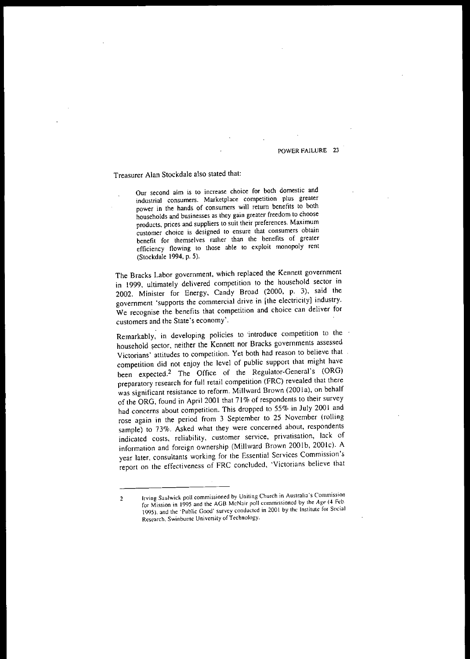# Treasurer Alan Stockdale also stated that:

Our second aim is to increase choice for both domestic and industrial consumers. Marketplace competition plus greater power in the hands of consumers will return benefits to both households and businesses as they gain greater freedom to choose products, prices and suppliers to suit their preferences. Maximum customer choice is designed to ensure that consumers obtain benefit for themselves rather than the benefits of greater efficiency flowing to those able to exploit monopoly rent (Stockdale 1994, p. 5).

The Bracks Labor government. which replaced the Kennett government in 1999, ultimately delivered competition to the household sector in 2002. Minister for Energy, Candy Broad (2000, p. 3), said the government 'supports the commercial drive in [the electricity] industry. We recognise the benefits that competition and choice can deliver for customers and the State's economy'.

Remarkably, in developing policies to introduce competition to the household sector, neither the Kennett nor Bracks governments assessed Victorians' attitudes to competition. Yet both had reason to believe that competition did not enjoy the level of public support that might have been expected.<sup>2</sup> The Office of the Regulator-General's (ORG) preparatory research for full retail competition (FRC) revealed that there was significant resistance to reform. Millward Brown (2001a), on behalf of the ORG, found in April 2001 that 71% of respondents to their survey had concerns about competition. This dropped to 55% in July 2001 and rose again in the period from 3 September to 25 November (rolling sample) to 73%. Asked what they were concerned about, respondents indicated costs, reliability, customer service, privatisation, lack of information and foreign ownership (Millward Brown 2001b, 2001c). A year later, consultants working for the Essential Services Commission's report on the effectiveness of FRC concluded, 'Victorians believe that

<sup>2</sup> Irving Saulwick poll commissioned by Uniting Church in Australia's Commission for Mission in 1995 and the AGB McNair poll commissioned by the Age (4 Feb. 1995), and the 'Public Good' survey conducted in 2001 by the Institute for Social Research, Swinbume University of Technology.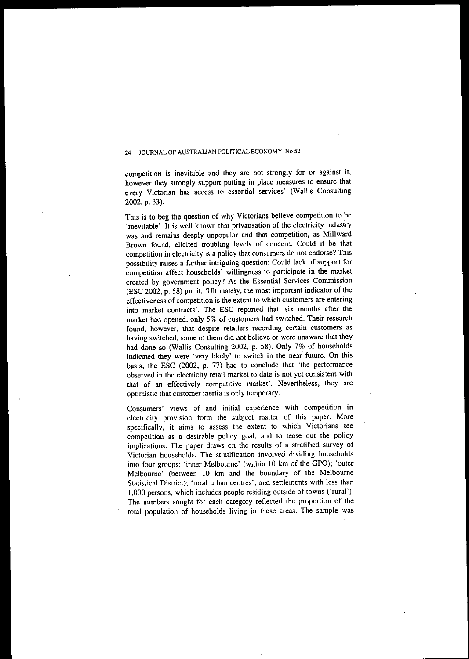competition is inevitable and they are not strongly for or against it, however they strongly support putting in place measures to ensure that every Victorian has access to essential services' (Wallis Consulting 2002, p. 33).

This is to beg the question of why Victorians believe competition to be 'inevitable'. It is well known that privatisation of the electricity industry was and remains deeply unpopular and that competition, as Millward Brown found, elicited troubling levels of concern. Could it be that . **competition in electricity is a policy that consumers do not endorse? This** possibility raises a further intriguing question: Could lack of support for competition affect households' willingness to participate in the market created by government policy? As the Essential Services Commission (ESC 2002, p. 58) put it, 'Ultimately, the most important indicator of the **effectiveness of competition is the extent to which customers are entering** into market contracts'. The ESC reported that, six months after the market had opened, only 5% of customers had switched. Their research **found, however, that despite retailers recording certain customers as** having switched, some of them did not believe or were unaware that they had done so (Wallis Consulting 2002, p. 58). Only 7% of households indicated they were 'very likely' to switch in the near future. On this basis, the ESC (2002, p. 77) had to conclude that 'the performance observed in the electricity retail market to date is not yet consistent with that of an effectively competitive market'. Nevertheless, they are **optimistic that customer inertia is only temporary.**

**Consumers' views of and initial experience with competition in** electricity provision form the subject matter of this paper. More specifically, it aims to assess the extent to which Victorians see competition as a desirable policy goal, and to tease out the policy implications. The paper draws on the results of a stratified survey of Victorian households. The stratification involved dividing households into four groups: 'inner Melbourne' (within 10 km of the GPO); 'outer Melbourne' (between 10 km and the boundary of the Melbourne Statistical District); 'rural urban centres'; and settlements with less than' 1,000 persons, which includes people residing outside of towns ('rural'). The numbers sought for each category reflected the proportion of the total population of households living in these areas. The sample was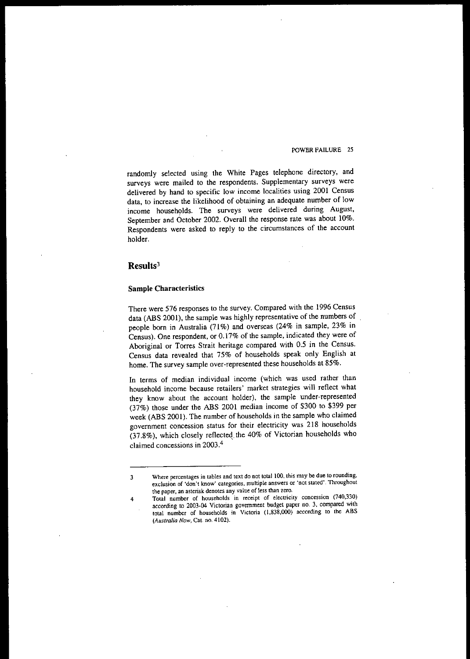randomly selected using the White Pages telephone directory, and surveys were mailed to the respondents. Supplementary surveys were delivered by hand to specific low income localities using 2001 Census data, to increase the likelihood of obtaining an adequate number of low income households. The surveys were delivered during August, September and October 2002. Overall the response rate was about 10%. Respondents were asked to reply to the circumstances of the account holder.

# **Results3**

# **Sample Characteristics**

There were 576 responses to the survey. Compared with the 1996 Census data (ABS 2001), the sample was highly representative of the numbers of people born in Australia (71%) and overseas (24% in sample, 23% in Census). One respondent, or 0.17% of the sample, indicated they were of Aboriginal or Torres Strait heritage compared with 0.5 in the Census. Census data revealed that 75% of households speak only English at home. The survey sample over-represented these households at 85%.

In terms of median individual income (which was used rather than **household income because retailers' market strategies will reflect what** they know about the account holder), the sample under-represented (37%) those under the ABS 2001 median income of \$300 to \$399 per week (ABS 2001). The number of households in the sample who claimed **government concession status for their electricity was 218 households** (37.8%), which closely reflected. the 40% of Victorian households who claimed concessions in 2003 4 '

**<sup>3</sup> Where percentages in tables and text do not** total 100, **this may be due to rounding, exclusion of 'don't know' categories, multiple answers or 'not stated'.1'hroughout the paper, an asterisk denotes any value of less than zero.**

**<sup>4</sup> Total number of households in receipt of electricity concession (740,330) according to 2003-04 Victorian government budget paper no. 3, compared with total number of households in Victoria (1,838,000) according to the ABS** *(Australia Now,* **Cat. no. 4102).**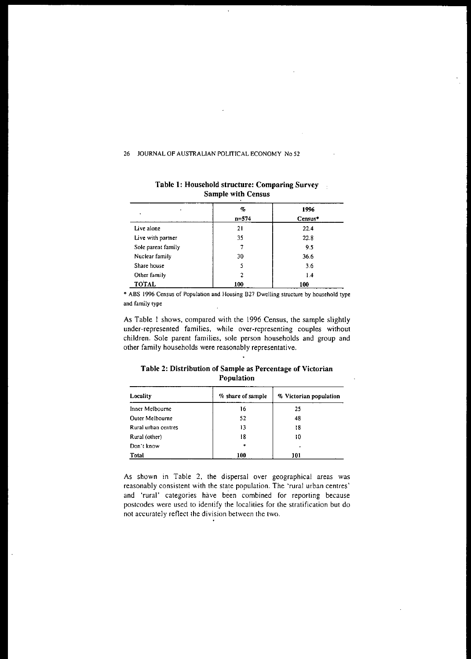| ٠                  | %<br>$n = 574$ | 1996<br>Census* |
|--------------------|----------------|-----------------|
| Live alone         | 21             | 22.4            |
| Live with partner  | 35             | 22.8            |
| Sole parent family |                | 9.5             |
| Nuclear family     | 30             | 36.6            |
| Share house        | 5              | 3.6             |
| Other family       | ,              | 1.4             |
| TOTAL              | 100            | 100             |

# Table 1: Household structure: Comparing Survey Sample with Census

 $\mathcal{L}_{\mathcal{A}}$ 

 $\ddot{\phantom{a}}$ 

**... ABS 1996 Census of Population and Housing 827 Dwelling structure by household type and family type**

As Table I shows. compared with the 1996 Census, the sample slightly **under-represented families, while over-representing couples without** children. Sole parent families, sole person households and group and **other family households were reasonably representative.**

# Table 2: Distribution of Sample as Percentage of Victorian Population

| Locality            | % share of sample | % Victorian population |
|---------------------|-------------------|------------------------|
| Inner Melbourne     | 16                | 25                     |
| Outer Melbourne     | 52                | 48                     |
| Rural urban centres | 13                | 18                     |
| Rural (other)       | 18                | 10                     |
| Don't know          | $\ast$            | ٠                      |
| <b>Total</b>        | 100               | 101                    |

**As shown in Table 2, the dispersal over geographical areas was reasonably consistent with the state population. The 'rural urban centres' and 'rural' categories have been combined for reporting because postcodes were used to identify the localities for the stratification but do not accurately reflect the division between the two.**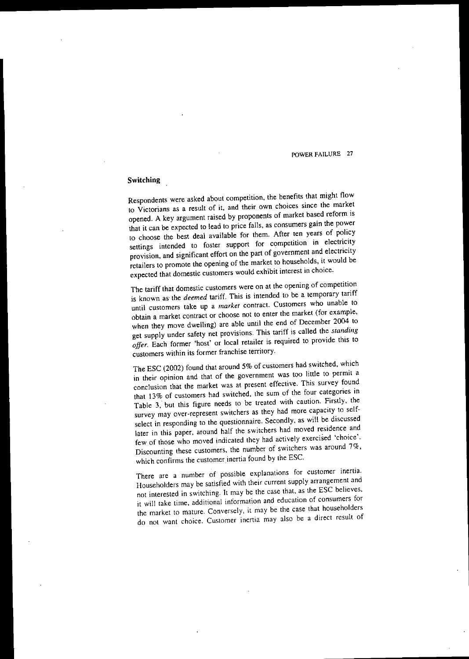# **Switching**

Respondents were asked about competition, the benefits that might flow **to Victorians as a result of it, and their own choices since the market** opened. A key argument raised by proponents of market based reform is that it can be expected to lead to price falls, as consumers gain the power to choose the best deal available for them. After ten years of policy **settings intended to foster support for c,?mpetition in electricity** provision, and significant effort on the part of government and electricity retailers to promote the opening of the market to households, it would be **expected that domestic customers would exhibit interest in choice.**

**The tariff that domestic customers were on at the opening of competition** is known as' the *deemed* tariff. This is intended to be a temporary tariff **until customers take up a** *market* **contract. Customers who unable to obtain a market contract or choose not to enter the market (for example,** when they move dwelling) are able until the end of December 2004 to get supply under safety net provisions. This tariff is called the *sranding offer.* Each former 'host' or local retailer is required to provide this to **customers within its former franchise territory.**

The ESC (2002) found that around 5% of customers had switched, which **in their opinion and that of the government was too little to permit a conclusion that the market was at present effective. This survey found** that 13% of customers had switched, the sum of the four categories in Table 3, but this figure needs to be treated with caution. Firstly, the **survey may over-represent switchers as they had more capacity to selfselect in responding to the questionnaire. Secondly, as will be discussed** later in this paper, around half the switchers had moved residence and few of those who moved indicated they had actively exercised 'choice'. Discounting these customers, the number of switchers was around 7%, which confirms the customer inertia found by the ESC.

**There are a number of possible explanations for customer inertia. Householders may be satisfied with their current supply arrangement and not interested in switching. It may be the case that, as the ESC believes, it will take time. additional information and education of consumers for the market to mature. Conversely, it may be the case that householders do not want choice. Customer inertia may also be a direct result of**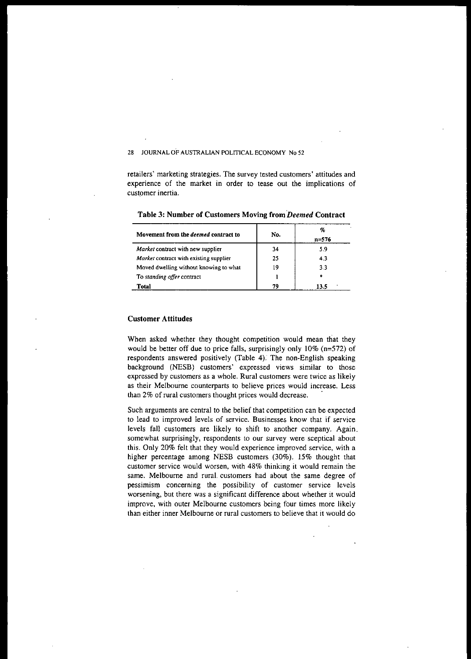**retailers' marketing strategies. The survey tested customers' attitudes and** experience of the market in order to tease out the implications of customer inertia.

| Movement from the <i>deemed</i> contract to | No. | %<br>$n = 576$ |
|---------------------------------------------|-----|----------------|
| <i>Market</i> contract with new supplier    | 34  | 5.9            |
| Market contract with existing supplier      | 25  | 43             |
| Moved dwelling without knowing to what      | 19  | 3.3            |
| To standing offer contract                  |     | ۰.             |
| Total                                       | 79  | 13.5           |

**Table 3: Number of Customers Moviug from***'Deemed* **Contract**

# **Customer Attitudes**

When asked whether they thought competition would mean that they would be better off due to price falls, surprisingly only 10% (n=572) of respondents answered positively (Table 4). The non-English speaking background (NESB) customers' expressed views similar to those **expressed by customers as a whole. Rural customers were twice as likely as their Melbourne counterparts to believe prices would increase. Less** than 2% of rural customers thought prices would decrease. .

Such arguments are central to the belief that competition can be expected **to lead to improved levels of service. Businesses know that if service** levels fall customers are likely to shift to another company. Again. somewhat surprisingly, respondents to our survey were sceptical about this. Only 20% felt that they would experience improved service, with a higher percentage among NESB customers (30%). 15% thought that **customer service would worsen, with 48% thinking it would remain the** same. Melbourne and rural. customers had about the same degree of **pessimism concerning the possibility of customer service levels** worsening, but there was a significant difference about whether it would improve, with outer Melbourne customers being four times more likely **than either inner Melbourne or rural customers to believe that it would do**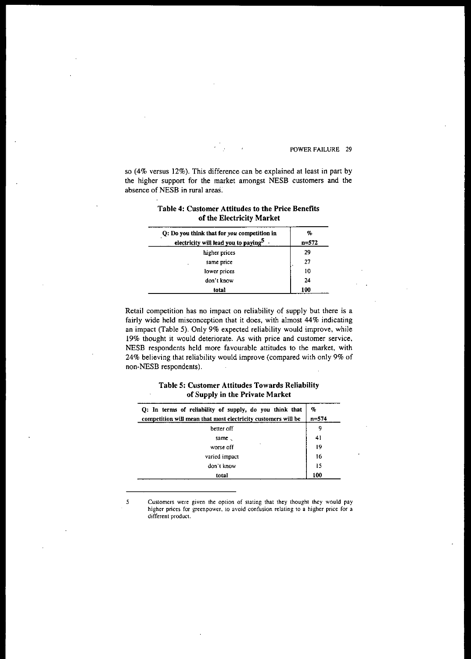so (4% versus 12%). This difference can be explained at least in part by the higher support for the market amongst NESB customers and the absence of NESB in rural areas.

| Table 4: Customer Attitudes to the Price Benefits |  |
|---------------------------------------------------|--|
| of the Electricity Market                         |  |

| Q: Do you think that for you competition in      | %         |
|--------------------------------------------------|-----------|
| electricity will lead you to paying <sup>5</sup> | $n = 572$ |
| higher prices                                    | 29        |
| same price                                       | 27        |
| lower prices                                     | 10        |
| don't know                                       | 24        |
| total                                            | 100       |

Retail competition has no impact on reliability of supply but there is a fairly wide held misconception that it does, with almost 44% indicating an impact (Table 5). Only 9% expected reliability would improve, while 19% thought it would deteriorate. As with price and customer service, NESB respondents held more favourable attitudes to the market, with 24% believing that reliability would improve (compared with only 9% of non-NESB respondents).

# Table 5: Customer Attitudes Towards Reliability of Supply in the Private Market

| Q: In terms of reliability of supply, do you think that       | $\phi_c$  |
|---------------------------------------------------------------|-----------|
| competition will mean that most electricity customers will be | $n = 574$ |
| better off                                                    | 9         |
| same.                                                         | 41        |
| worse off                                                     | 19        |
| varied impact                                                 | 16        |
| don t know                                                    | 15        |
| total                                                         | 100       |

5 Customers were given the option of slating that they thought they would pay higher prices for greenpower, to avoid confusion relating to a higher price for a different product.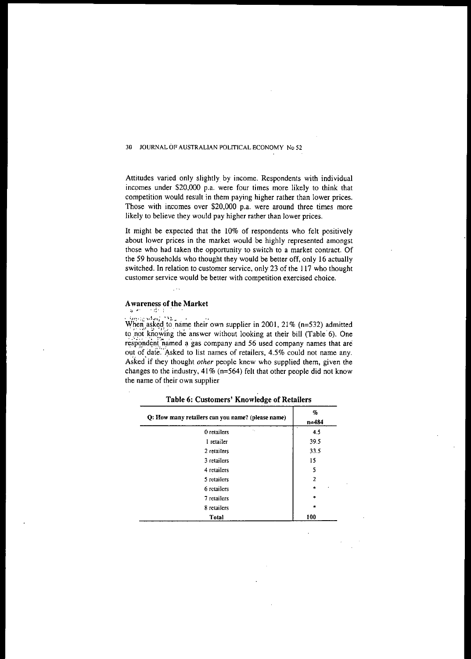Attitudes varied only slightly by income. Respondents with individual incomes under \$20,000 p.a. were four times more likely to think that competition would result in them paying higher rather than lower prices. Those with incomes over \$20,000 p.a. were around three times more likely to believe they would pay higher rather than lower prices.

It might be expected that the 10% of respondents who felt positively about lower prices in the market would be highly represented amongst those who had taken the opportunity to switch to a market contract. Of the 59 households who thought they would be better off, only 16 actually switched. In relation to customer service, only 23 of the 117 who thought **customer service would be better with competition exercised choice.**

# Awareness of the Market

When asked to name their own supplier in 2001, 21% (n=532) admitted  $\frac{1}{2}$ .  $\frac{1}{2}$  :  $\frac{1}{2}$   $\frac{1}{2}$   $\frac{1}{2}$   $\frac{1}{2}$   $\frac{1}{2}$   $\frac{1}{2}$   $\frac{1}{2}$   $\frac{1}{2}$   $\frac{1}{2}$   $\frac{1}{2}$   $\frac{1}{2}$   $\frac{1}{2}$   $\frac{1}{2}$  to not knowing the answer without looking at their bill (Table 6). One respondent named a gas company and 56 used company names that are out of date. Asked to list names of retailers, 4.5% could not name any. Asked' if they thought *other* people knew who supplied them, given the changes to the industry,  $41\%$  (n=564) felt that other people did not know the name of their own supplier

| Q: How many retailers can you name? (please name) | %<br>n=484     |
|---------------------------------------------------|----------------|
| k.<br>0 retailers                                 | 4.5            |
| 1 retailer                                        | 39.5           |
| 2 retailers                                       | 33.5           |
| 3 retailers                                       | 15             |
| 4 retailers                                       | 5              |
| 5 retailers                                       | $\overline{2}$ |
| 6 retailers                                       | $\ast$         |
| 7 retailers                                       | $\ast$         |
| 8 retailers                                       | $\star$        |
| <b>Total</b>                                      | 100            |

Table 6: Customers' Knowledge of Retailers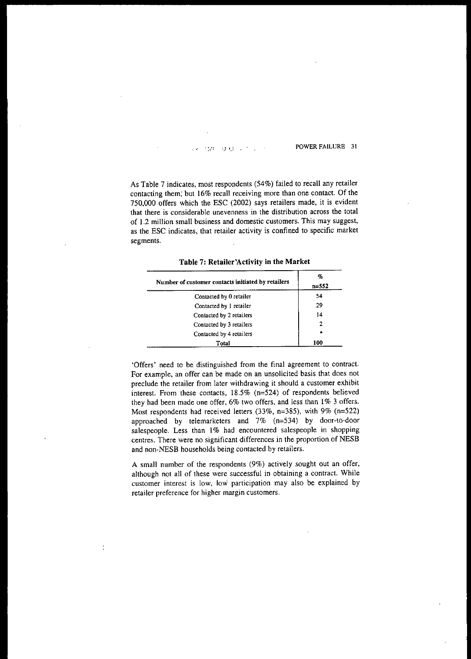As Table 7 indicates, most respondents (54%) failed to recall any retailer contacting them, but 16% recall receiving more than one contact. Of the 750,000 offers which the ESC (2002) says retailers made, it is evident that there is considerable unevenness in the distribution across the total of 1.2 million small business and domestic customers. This may suggest, as the ESC indicates, that retailer activity is confined to specific market segments.

| Number of customer contacts initiated by retailers | %<br>$n = 552$ |
|----------------------------------------------------|----------------|
| Contacted by 0 retailer                            | 54             |
| Contacted by 1 retailer                            | 29             |
| Contacted by 2 retailers                           | 14             |
| Contacted by 3 retailers                           | 2              |
| Contacted by 4 retailers                           | $\frac{1}{2}$  |
| Total                                              | 100            |

**Table** 7: Retailer'Activity **in the Market**

'Offers' need to be distinguished from the final agreement to contract. For example, an offer can be made on an unsolicited basis that does not preclude the retailer from later withdrawing it should a customer exhibit interest. From these contacts. 18.5% (n=524) of respondents believed they had been made one offer, 6% two offers, and less than 1% 3 offers. Most respondents had received letters (33%, n=385), with 9% (n=522) approached by telemarketers and  $7\%$  (n=534) by door-to-door salespeople. Less than 1% had encountered salespeople in shopping centres. There were no significant differences in the proportion of NESB and non-NESB households being contacted by retailers.

A small number of the respondents (9%) actively sought out an offer, although not all of these were successful in obtaining a contract. While **customer interest is low, low participation may also be explained by retailer preference for higher margin customers.**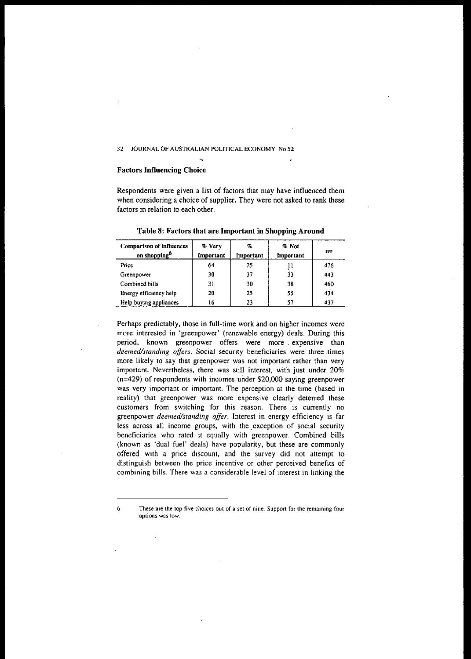### Factors **Influencing** Choice

Respondents were given a list of factors that may have influenced them when considering a choice of supplier. They were not asked to rank these factors in relation to each other.

| <b>Comparison of influences</b><br>on shopping <sup>6</sup> | $%$ Very<br>Important | q,<br>Important | % Not<br>Important | n=  |
|-------------------------------------------------------------|-----------------------|-----------------|--------------------|-----|
| Price                                                       | 64                    | 25              |                    | 476 |
| Greenpower                                                  | 30                    | 37              | 33                 | 443 |
| Combined bills                                              | 31                    | 30              | 38                 | 460 |
| Energy efficiency help                                      | 20                    | 25              | 55                 | 434 |
| Help buying appliances                                      | 16                    | 23              | 57                 | 437 |

Table 8: Factors that are Important in Shopping Around

Perhaps predictably, those in full-time work and on higher incomes were more interested in 'greenpower' (renewable energy) deals. During this period, known greenpower offers were more .. expensive than *deemed/standing offers.* Social security beneficiaries were three .times more likely to say that greenpower was not important rather than very important. Nevertheless. there was still interest, with just under 20% (n=429) of respondents with incomes under \$20,000 saying greenpower was very important or important. The perception at the time (based in reality) that greenpower was more expensive clearly deterred these customers from switching for this reason. There is currently no greenpower *deemed/standing offer.* Interest in energy efficiency is far less across all income groups, with the, exception of social security beneficiaries who rated it equally with greenpower. Combined bills (known as 'dual fuel' deals) have popularity, but these are commonly offered with a price discount, and the survey did not attempt to distinguish between the price incentive or other perceived benefits of combining bills. There was a considerable level of interest in linking the

<sup>6</sup> These are the top five choices out of a set of nine. Support for Ihe remaining four options was low.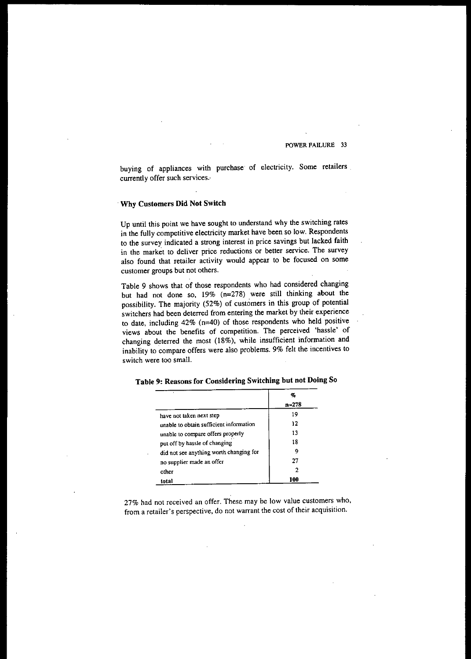buying of appliances with purchase of electricity. Some retailers currently offer such services.

# . Why Customers Did Not Switch

Up until this point we have sought to understand why the switching rates in the fully competitive electricity market have been so low. Respondents to the survey indicated a strong interest in price savings but lacked faith **in the market to deliver price reductions or better service. The survey** also found that retailer activity would appear to be focused on some customer groups but not others.

Table 9 shows that of those respondents who had considered changing but had not done so, 19% (n=278) were still thinking about the possibility. The majority (52%) of customers in this group of potential switchers had been deterred from entering the market by their experience to date, including 42% (n=40) of those respondents who held positive views about the benefits of competition. The perceived 'hassle' of changing deterred the most (18%), while insufficient information and inability to compare offers were also problems. 9% felt the incentives to **switch were too small.**

|                                         | ο,    |  |
|-----------------------------------------|-------|--|
|                                         | n=278 |  |
| have not taken next step                | 19    |  |
| unable to obtain sufficient information | 12    |  |
| unable to compare offers properly       | 13    |  |
| put off by hassle of changing           | 18    |  |
| did not see anything worth changing for | 9     |  |
| no supplier made an offer               | 27    |  |
| other                                   | 2     |  |
| total                                   | 100   |  |

Table 9: Reasons for Considering Switching but not Doing So

27% had not received an offer. These may be low value customers who, **from a retailer's perspective, do not warrant the cost** of their **acquisition.**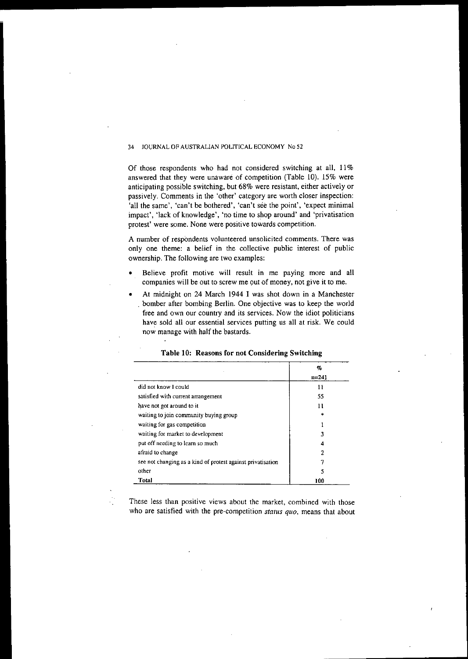Of those respondents who had not considered switching at all, 11% answered that they were unaware of competition (Table 10). 15% were anticipating possible switching, but 68% were resistant, either actively or passively. Comments in the 'other' category are worth closer inspection: 'all the same', 'can't be bothered', 'can't see the point', 'expect minimal impact', 'lack of knowledge', 'no time to shop around' and 'privatisation protest' were some. None were positive towards competition.

A number of respondents volunteered unsolicited comments. There was only one theme: a belief in the collective public interest of public ownership. The following are two examples:

- Believe profit motive will result in me paying more and all companies will be out to screw me out of money, not give it to me.
- At midnight on 24 March 1944 I was shot down in a Manchester . bomber after bombing Berlin. One objective was to keep the world free and own our country and its services. Now the idiot politicians have sold all our essential services putting us all at risk. We could now manage with half the bastards.

|                                                             | q,        |  |
|-------------------------------------------------------------|-----------|--|
|                                                             | $n = 241$ |  |
| did not know I could                                        | 11        |  |
| satisfied with current arrangement                          | 55        |  |
| have not got around to it                                   | 11        |  |
| waiting to join community buying group                      |           |  |
| waiting for gas competition                                 |           |  |
| waiting for market to development                           |           |  |
| put off needing to learn so much                            | 4         |  |
| afraid to change                                            | 2         |  |
| see not changing as a kind of protest against privatisation |           |  |
| other                                                       | ٢         |  |
| Total                                                       | 100       |  |

## Table 10: Reasons for not Considering Switching

These less than positive views about the market, combined with those who are satisfied with the pre-competition *status quo,* means that about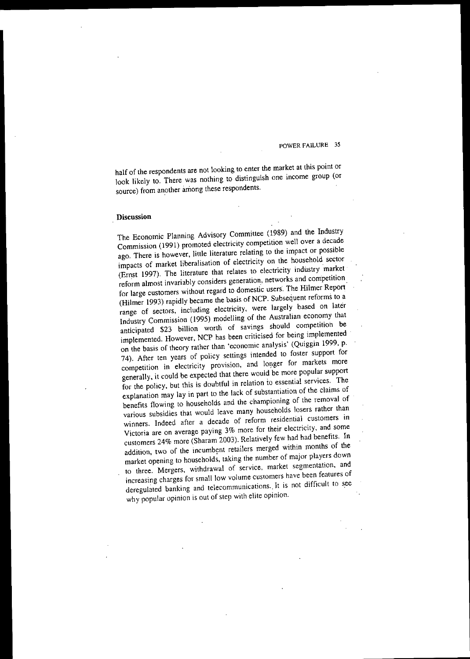half of the respondents are not looking to enter the market at this point or look likely to. There was nothing to distinguish one income group (or source) from another among these respondents.

### **Discussion**

The Economic Planning Advisory Committee (1989) and the Industry Commission (1991) promoted electricity competition well over a decade ago. There is however, little literature relating to the impact or possible impacts of market liberalisation of electricity on the household sector (Ernst 1997). The literature that relates to electricity industry market **reform almost invariably considers generation. networks and competition** for large customers without regard to domestic users. The Hilmer Report (Hilmer 1993) rapidly became the basis of NCP. Subsequent reforms to a range of sectors, including electricity, were largely based on later Industry Commission (1995) modelling of the Australian economy that anticipated \$23 billion worth of savings should competition be implemented. However, NCP has been criticised for being implemented on the basis of theory rather than 'economic analysis' (Quiggin 1999, p. 74). After ten years of policy settings intended to foster support for **competition in electricity provision, and IOl)ger for markets more** generally, it could be expected that there would be more popular support for the policy, but this is doubtful in relation io essential services. The explanation may lay in part to the lack of substantiation of the claims of benefits flowing to households and the championing of the removal of various subsidies that would leave many households losers rather than **winners. Indeed after a decade of reform residential customers in Victoria are on average paying 3% more for their electricity, and some** customers 24% more (Sharam 2003). Relatively few had had benefits. **In** addition, two of the incumbent retailers merged within months of the market opening to households, taking the number of major players down **to three. Mergers. withdrawal of service, market segmentation, and** increasing charges for small low volume customers have been features of deregulated banking and telecommunications.. It is not difficult to see why popular opinion is out of step with elite opinion.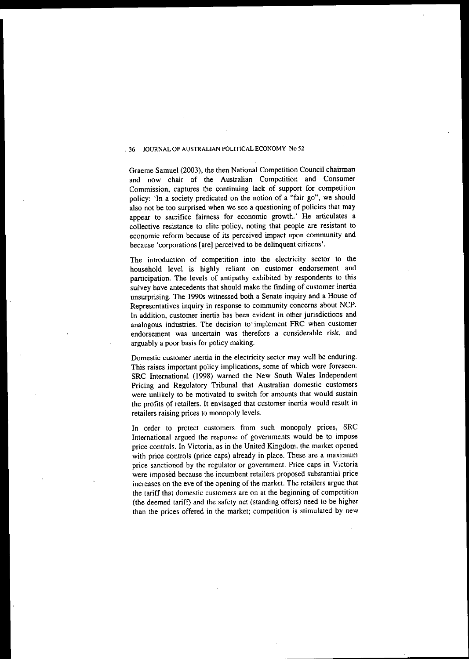Graeme Samuel (2003), the then National Competition Council chairman and now chair of the Australian Competition and Consumer Commission, captures the continuing lack of support for competition policy: 'In a society predicated on the notion of a "fair go", we should also not be too surprised when we see a questioning of policies that may appear to sacrifice fairness for economic growth.' He articulates a collective resistance to elite policy, noting that people are resistant to **economic reform because of its perceived impact upon community and because 'corporations (are] perceived to be delinquent citizens'.**

The introduction of competition into the electricity sector to the household level is highly reliant on customer endorsement and participation. The levels of antipathy exhibited by respondents to this survey have antecedents that should make the finding of customer inertia unsurprising. The 1990s witnessed both a Senate inquiry and a House of **Representatives inquiry in response to community concerns about NCP. In addition, customer inertia has been evident in other jurisdictions and analogous industries. The decision to· implement FRC when customer endorsement was uncertain was therefore a considerable risk, and** arguably a poor basis for policy making.

**Domestic customer inertia in the electricity sector may well be enduring. This raises important policy implications. some of which were foreseen.** SRC International (1998) warned the New South Wales Independent Pricing and Regulatory Tribunal that Australian domestic customers **were unlikely to be motivated to switch for amounts that would sustain** the profits of retailers. It envisaged that customer inertia would result in retailers raising prices to monopoly levels.

In order to protect customers from such monopoly prices, SRC International argued the response of governments would be to impose price controls. In Victoria, as in the United Kingdom, the market opened with price controls (price caps) already in place. These are a maximum **price sanctioned by the regulator or government. Price caps in Victoria** were imposed because the incumbent retailers proposed substantial price increases on the eve of the opening of the market. The retailers argue that **the tariff that domestic customers are on at the beginning of competition** (the deemed tariff) and the safety net (standing offers) need to be higher than the prices offered in the market; competition is stimulated by new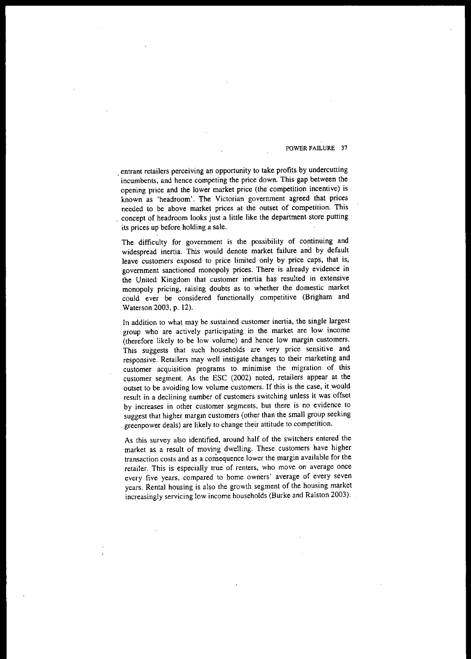. entrant retailers perceiving an opportunity to take profits by undercutting incumbents, and hence competing the price down. This gap between the opening price and the lower market price (the competition incentive) is known as 'headroom'. The Victorian government agreed that prices **needed to be above market prices at the outset of competition. This** concept of headroom looks just a little like the department store putting its prices up before holding a sale.

The difficulty for government is the possibility of continuing and widespread inertia. This would denote market failure and by default leave customers exposed to price limited only by price caps, that is, government sanctioned monopoly prices. There is already evidence in the United Kingdom that customer inertia has resulted in extensive monopoly pricing, raising doubts as to whether the domestic market could ever be considered functionally competitive (Brigham and Waterson 2003, p. 12).

**In addition to what may be sustained customer inertia, the single largest group who are actively participating in the market are low income** (therefore likely to be low volume) and hence low margin customers. This suggests that such households are very price sensitive and responsive. Retailers may well instigate changes to their marketing and **customer acquisition programs to minimise the migration of this** customer segment. As the ESC (2002) noted, retailers appear at the **outset to be avoiding low volume customers. If this is the case, it would result in a declining number of customers switching unless it was offset by increases in other customer segments, but there is no evidence to** suggest that higher margin customers (other than the small group seeking greenpower deals) are likely to change their attitude to competition.

As this survey also identified, around half of the switchers entered the market as a result of moving dwelling. These customers have higher **transaction costs and as a consequence lower the margin available for the retailer. This is especially true of renters, who move on average once every five years, compared to home owners' average of every seven** years. Rental housing is also the growth segment of the housing market increasingly servicing low income households (Burke and Ralston 2003).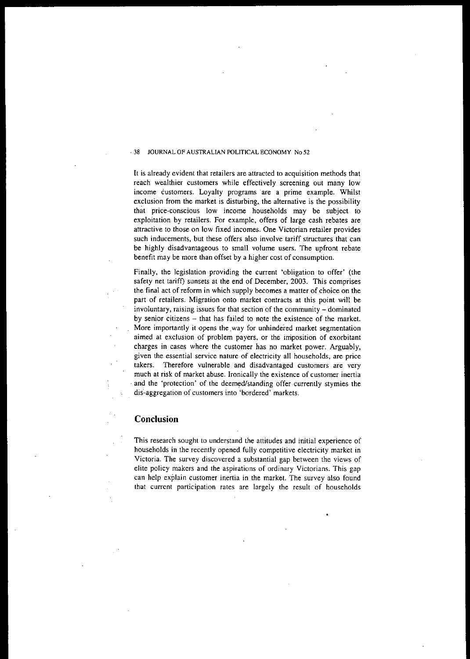**It is already evident that retailers are attracted to acquisition methods that** reach wealthier customers while effectively screening out many low income customers. Loyalty programs are a prime example. Whilst exclusion from the market is disturbing, the alternative is the possibility **th'at price-conscious low income households may be subject to** exploitation by retailers. For example, offers of large cash rebates are **attractive to those on low fixed incomes. One Victorian retailer provides such inducements, but these offers also involve tariff structures that can** be highly disadvantageous to small volume users. The upfront rebate benefit may be more than offset by a higher cost of consumption.

Finally, the legislation providing the current 'obligation to offer' (the safety net tarift) sunsets at the end of December, 2003. This comprises the final act of reform in which supply becomes a matter of choice on the **part of retailers. Migration onto market contracts at this point will be involuntary, raising issues for that section of the community - dominated** by senior citizens - that has failed to note the existence of the market. More importantly it opens the way for unhindered market segmentation **aimed at exclusion of problem payers, or the imposition of exorbitant** charges in cases where the customer has no market power. Arguably, **given the essential service nature of electricity all households, are price takers. Therefore vulnerable and disadvantaged customers are very much at risk of market abuse. Ironically the existence of customer inertia** . and the 'protection' of the deemed/standing offer currently stymies the **dis:"'aggregation of customers into 'bordered' markets.**

# **Conclusion**

**This research sought to understand the attitudes and initial experience of** households in the recently opened fully competitive electricity market in Victoria. The survey discovered a substantial gap between the views of **elite policy makers and the aspirations of ordinary Victorians. This gap can help explain customer inertia in the market. The survey also found that current participation rates are largely the result of households**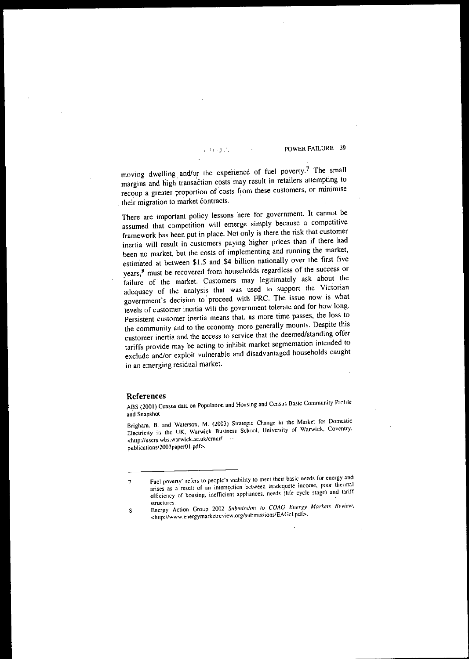!! 'J. '. POWER FAtLURE 39

moving dwelling and/or the experience of fuel poverty.? The small moving dwelling and/or the experience of fuel poverty.<sup>7</sup> The small<br>margins and high transaction costs may result in retailers attempting to margins and high transaction costs may result in retailers attempting to recoup a greater proportion of costs from these customers, or minimise their migration to market contracts.

There are important policy lessons here for government. It cannot be assumed that competition will emerge simply because a competitive framework has been put in place. Not only is there the risk that customer inertia will result in customers paying higher prices than if there had been no market, but the costs of implementing and running the market, estirnated at between \$1.5 and \$4 billion nationally over the first five years,8 must be recovered from households regardless of the success or failure of the market. Customers may legitimately ask about the adequacy of the analysis that was used to support the Victorian government's decision to' proceed with FRC. The issue now is what levels of customer inertia will the government tolerate and for how long. Persistent customer inertia means that, as more time passes, the loss to the community and to the economy more generally mounts. Despite this customer inertia and the access to service that the deemed/standing offer tariffs provide may be acting to inhibit market segmentation intended to exclude and/or exploit vulnerable and disadvantaged households caught in an emerging residual market.

### References

ABS (2001) Census data on Population and Housing and Census Basic Community Profile and Snapshot

Brigham. B, and Waterson, M. (2003) Strategic Change in the Market for Domestic Electricity in the UK, Warwick Business School, University of Warwick, Coventry, <http://users.wbs.warwick.ac.uk/cmur/ publications/2003paper01.pdf>.

<sup>7</sup> Fuel poverty' refers to people's inability to meet their basic needs for energy and arises as a result of an intersection between inadequate income, poor thermal efficiency of housing, inefficient appliances, needs (life cycle stage) and tariff

structures.<br>
8 Energy Action Group 2002 Submission to *COAG* Energy Markets Review, <hup: //www.energymarkctreview.org/submissions/EAGcl.pdf>.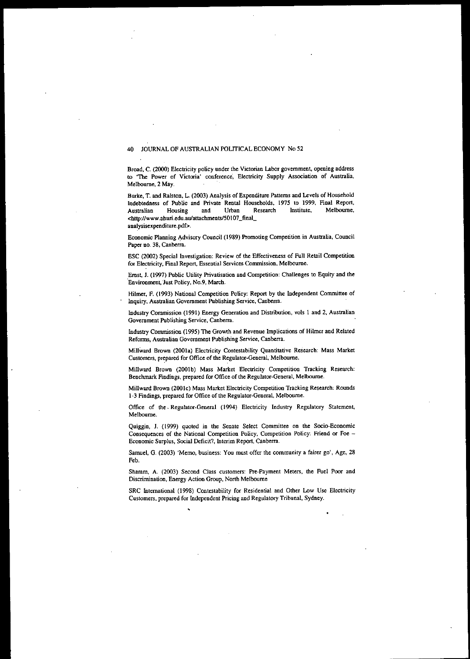Broad, C. (2000) Electricity policy under the Victorian Labor government, opening address to 'The Power of Victoria' conference, Electricity Supply Association of Australia, Melbourne, 2 May.

Burke, T. and Ralslon. L. (2003) Analysis of Expenditure Patterns and Levels of Household Indebtedness of Public and Private Rental Households. 1975 to 1999, Final Report, Australian Housing and Urban Research Institute. Melbourne, <http://www.aburi.edu.aufattachments/50107\_final\_ analysisexpenditure.pdf>.

Economic Planning Advisory Council (1989) Promoting Competition in Australia, Council Paper no. 38. Canberra.

ESC (2002) Special Investigation: Review of the Effectiveness of Full Retail Competition for Electricity, Final Report, Essential Services Conunission. Melbourne.

Emst, J. (1997) Public Utility Privatisation and Competition: Challenges to Equity and the Environment, Just Policy, No.9, March.

Hilmer, F. (1993) National Competition Policy: Report by the Independent Committee of Inquiry, Australian Government Publishing Service, Canberra.

Industry Commission (1991) Energy Generation and Distribution, vols 1 and 2, Australian Government Publishing Service, Canberra.

Industry Commission (1995) The Growth and Revenue Implications of Hilmer and Related Reforms, Australian Government Publishing Service, Canberra.

MilIWard Brown (200la) Electricity Contestability Quantitative Research: Mass Market Customers, prepared for Office of the Regulator-General, Melbourne.

Millward Brown (2001b) Mass Market Electricity Competition Tracking Research: Benchmark Findings, prepared for Office of the Regulator-General, Melbourne.

Millward Brown (2001c) Mass Market Electricity Competition Tracking Research: Rounds 1-3 Findings, prepared for Office of the Regulator-General, Melbourne.

Office of the· Regulator-General (1994) Electricity Industry Regulatory Statement, Melbourne.

Quiggin, J. (1999) quoted in the Senate Select Committee on the Socio-Economic Consequences of the National Competition Policy, Competition Policy: Friend or Foe -Economic Surplus, Social Deficit?, Interim Report, Canberra.

Samuel, G. (2003) 'Memo, business: You must offer the community a fairer go', Age, 28 Feb.

Sharam, A. (2003) Second Class customers: Pre-Payment Meters, the Fuel Poor and Discrimination, Energy Action Group, North Melbourne

SRC International (1998) Contestability for Residential and Other Low Use Electricity Customers, prepared for Independent Pricing and Regulatory Tribunal, Sydney.